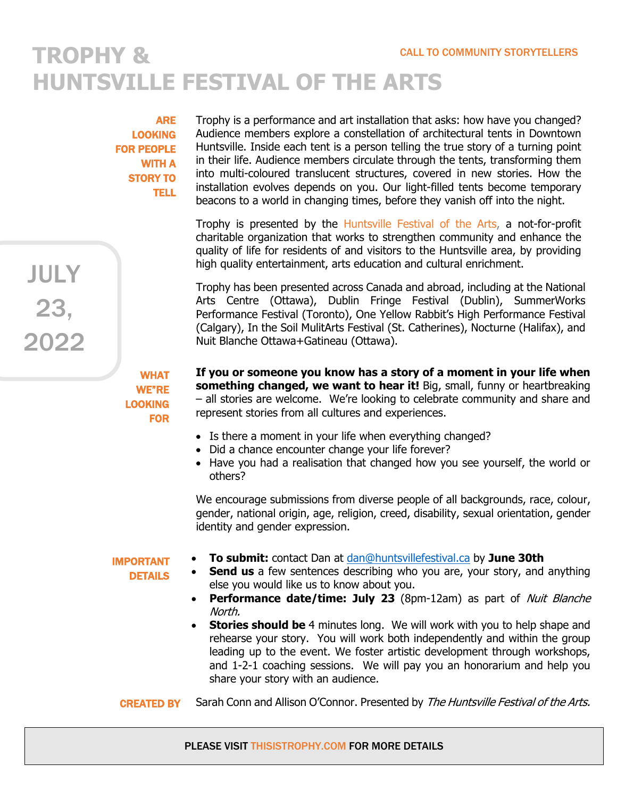## **TROPHY & HUNTSVILLE FESTIVAL OF THE ARTS**

ARE LOOKING FOR PEOPLE WITH A STORY TO TELL

JULY

23,

2022

Trophy is a performance and art installation that asks: how have you changed? Audience members explore a constellation of architectural tents in Downtown Huntsville. Inside each tent is a person telling the true story of a turning point in their life. Audience members circulate through the tents, transforming them into multi-coloured translucent structures, covered in new stories. How the installation evolves depends on you. Our light-filled tents become temporary beacons to a world in changing times, before they vanish off into the night.

Trophy is presented by the Huntsville Festival of the Arts, a not-for-profit charitable organization that works to strengthen community and enhance the quality of life for residents of and visitors to the Huntsville area, by providing high quality entertainment, arts education and cultural enrichment.

Trophy has been presented across Canada and abroad, including at the National Arts Centre (Ottawa), Dublin Fringe Festival (Dublin), SummerWorks Performance Festival (Toronto), One Yellow Rabbit's High Performance Festival (Calgary), In the Soil MulitArts Festival (St. Catherines), Nocturne (Halifax), and Nuit Blanche Ottawa+Gatineau (Ottawa).

WHAT WE"RE LOOKING FOR **If you or someone you know has a story of a moment in your life when something changed, we want to hear it!** Big, small, funny or heartbreaking – all stories are welcome. We're looking to celebrate community and share and represent stories from all cultures and experiences.

- Is there a moment in your life when everything changed?
- Did a chance encounter change your life forever?
- Have you had a realisation that changed how you see yourself, the world or others?

We encourage submissions from diverse people of all backgrounds, race, colour, gender, national origin, age, religion, creed, disability, sexual orientation, gender identity and gender expression.

## IMPORTANT

**DETAILS** 

- **To submit:** contact Dan at dan@huntsvillefestival.ca by **June 30th Send us** a few sentences describing who you are, your story, and anything else you would like us to know about you.
- **Performance date/time: July 23** (8pm-12am) as part of Nuit Blanche North.
- **Stories should be** 4 minutes long. We will work with you to help shape and rehearse your story. You will work both independently and within the group leading up to the event. We foster artistic development through workshops, and 1-2-1 coaching sessions. We will pay you an honorarium and help you share your story with an audience.

Sarah Conn and Allison O'Connor. Presented by The Huntsville Festival of the Arts. CREATED BY

## PLEASE VISIT THISISTROPHY.COM FOR MORE DETAILS